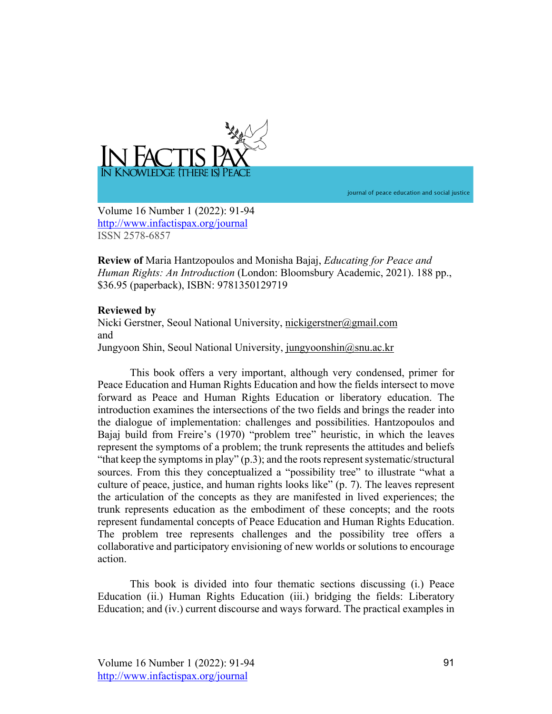

journal of peace education and social justice

Volume 16 Number 1 (2022): 91-94 http://www.infactispax.org/journal ISSN 2578-6857

**Review of** Maria Hantzopoulos and Monisha Bajaj, *Educating for Peace and Human Rights: An Introduction* (London: Bloomsbury Academic, 2021). 188 pp., \$36.95 (paperback), ISBN: 9781350129719

## **Reviewed by**

Nicki Gerstner, Seoul National University, nickigerstner@gmail.com and Jungyoon Shin, Seoul National University, jungyoonshin@snu.ac.kr

This book offers a very important, although very condensed, primer for Peace Education and Human Rights Education and how the fields intersect to move forward as Peace and Human Rights Education or liberatory education. The introduction examines the intersections of the two fields and brings the reader into the dialogue of implementation: challenges and possibilities. Hantzopoulos and Bajaj build from Freire's (1970) "problem tree" heuristic, in which the leaves represent the symptoms of a problem; the trunk represents the attitudes and beliefs "that keep the symptoms in play" (p.3); and the roots represent systematic/structural sources. From this they conceptualized a "possibility tree" to illustrate "what a culture of peace, justice, and human rights looks like" (p. 7). The leaves represent the articulation of the concepts as they are manifested in lived experiences; the trunk represents education as the embodiment of these concepts; and the roots represent fundamental concepts of Peace Education and Human Rights Education. The problem tree represents challenges and the possibility tree offers a collaborative and participatory envisioning of new worlds or solutions to encourage action.

This book is divided into four thematic sections discussing (i.) Peace Education (ii.) Human Rights Education (iii.) bridging the fields: Liberatory Education; and (iv.) current discourse and ways forward. The practical examples in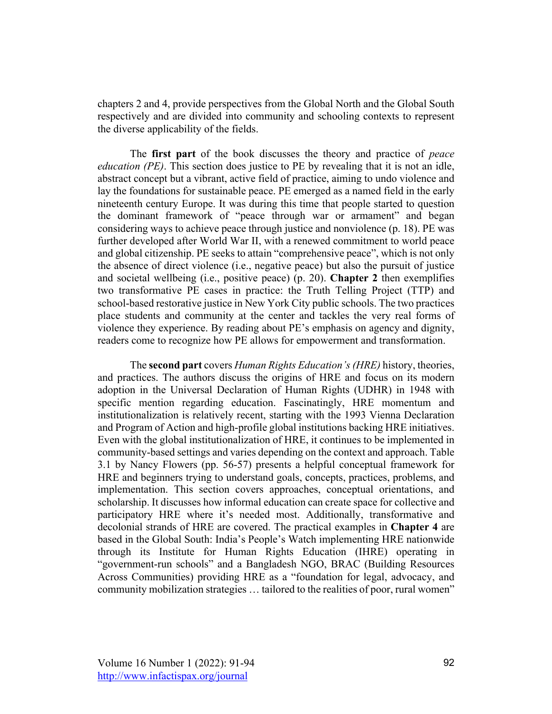chapters 2 and 4, provide perspectives from the Global North and the Global South respectively and are divided into community and schooling contexts to represent the diverse applicability of the fields.

The **first part** of the book discusses the theory and practice of *peace education (PE)*. This section does justice to PE by revealing that it is not an idle, abstract concept but a vibrant, active field of practice, aiming to undo violence and lay the foundations for sustainable peace. PE emerged as a named field in the early nineteenth century Europe. It was during this time that people started to question the dominant framework of "peace through war or armament" and began considering ways to achieve peace through justice and nonviolence (p. 18). PE was further developed after World War II, with a renewed commitment to world peace and global citizenship. PE seeks to attain "comprehensive peace", which is not only the absence of direct violence (i.e., negative peace) but also the pursuit of justice and societal wellbeing (i.e., positive peace) (p. 20). **Chapter 2** then exemplifies two transformative PE cases in practice: the Truth Telling Project (TTP) and school-based restorative justice in New York City public schools. The two practices place students and community at the center and tackles the very real forms of violence they experience. By reading about PE's emphasis on agency and dignity, readers come to recognize how PE allows for empowerment and transformation.

The **second part** covers *Human Rights Education's(HRE)* history, theories, and practices. The authors discuss the origins of HRE and focus on its modern adoption in the Universal Declaration of Human Rights (UDHR) in 1948 with specific mention regarding education. Fascinatingly, HRE momentum and institutionalization is relatively recent, starting with the 1993 Vienna Declaration and Program of Action and high-profile global institutions backing HRE initiatives. Even with the global institutionalization of HRE, it continues to be implemented in community-based settings and varies depending on the context and approach. Table 3.1 by Nancy Flowers (pp. 56-57) presents a helpful conceptual framework for HRE and beginners trying to understand goals, concepts, practices, problems, and implementation. This section covers approaches, conceptual orientations, and scholarship. It discusses how informal education can create space for collective and participatory HRE where it's needed most. Additionally, transformative and decolonial strands of HRE are covered. The practical examples in **Chapter 4** are based in the Global South: India's People's Watch implementing HRE nationwide through its Institute for Human Rights Education (IHRE) operating in "government-run schools" and a Bangladesh NGO, BRAC (Building Resources Across Communities) providing HRE as a "foundation for legal, advocacy, and community mobilization strategies … tailored to the realities of poor, rural women"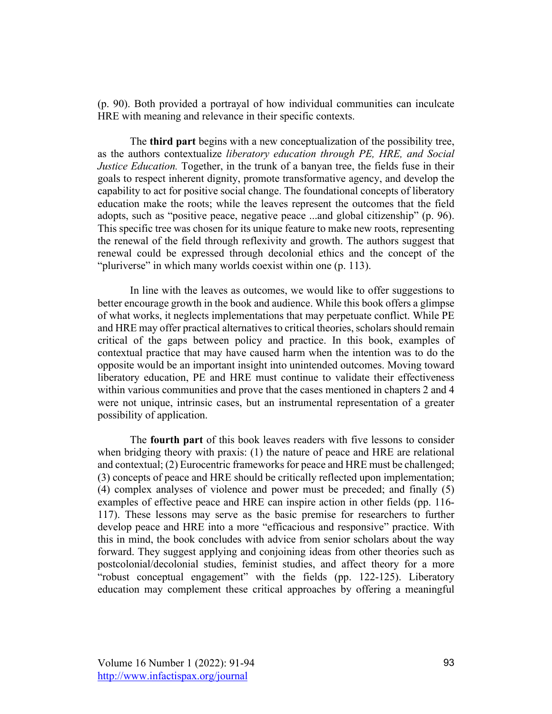(p. 90). Both provided a portrayal of how individual communities can inculcate HRE with meaning and relevance in their specific contexts.

The **third part** begins with a new conceptualization of the possibility tree, as the authors contextualize *liberatory education through PE, HRE, and Social Justice Education.* Together, in the trunk of a banyan tree, the fields fuse in their goals to respect inherent dignity, promote transformative agency, and develop the capability to act for positive social change. The foundational concepts of liberatory education make the roots; while the leaves represent the outcomes that the field adopts, such as "positive peace, negative peace ...and global citizenship" (p. 96). This specific tree was chosen for its unique feature to make new roots, representing the renewal of the field through reflexivity and growth. The authors suggest that renewal could be expressed through decolonial ethics and the concept of the "pluriverse" in which many worlds coexist within one (p. 113).

In line with the leaves as outcomes, we would like to offer suggestions to better encourage growth in the book and audience. While this book offers a glimpse of what works, it neglects implementations that may perpetuate conflict. While PE and HRE may offer practical alternatives to critical theories, scholars should remain critical of the gaps between policy and practice. In this book, examples of contextual practice that may have caused harm when the intention was to do the opposite would be an important insight into unintended outcomes. Moving toward liberatory education, PE and HRE must continue to validate their effectiveness within various communities and prove that the cases mentioned in chapters 2 and 4 were not unique, intrinsic cases, but an instrumental representation of a greater possibility of application.

The **fourth part** of this book leaves readers with five lessons to consider when bridging theory with praxis: (1) the nature of peace and HRE are relational and contextual; (2) Eurocentric frameworks for peace and HRE must be challenged; (3) concepts of peace and HRE should be critically reflected upon implementation; (4) complex analyses of violence and power must be preceded; and finally (5) examples of effective peace and HRE can inspire action in other fields (pp. 116- 117). These lessons may serve as the basic premise for researchers to further develop peace and HRE into a more "efficacious and responsive" practice. With this in mind, the book concludes with advice from senior scholars about the way forward. They suggest applying and conjoining ideas from other theories such as postcolonial/decolonial studies, feminist studies, and affect theory for a more "robust conceptual engagement" with the fields (pp. 122-125). Liberatory education may complement these critical approaches by offering a meaningful